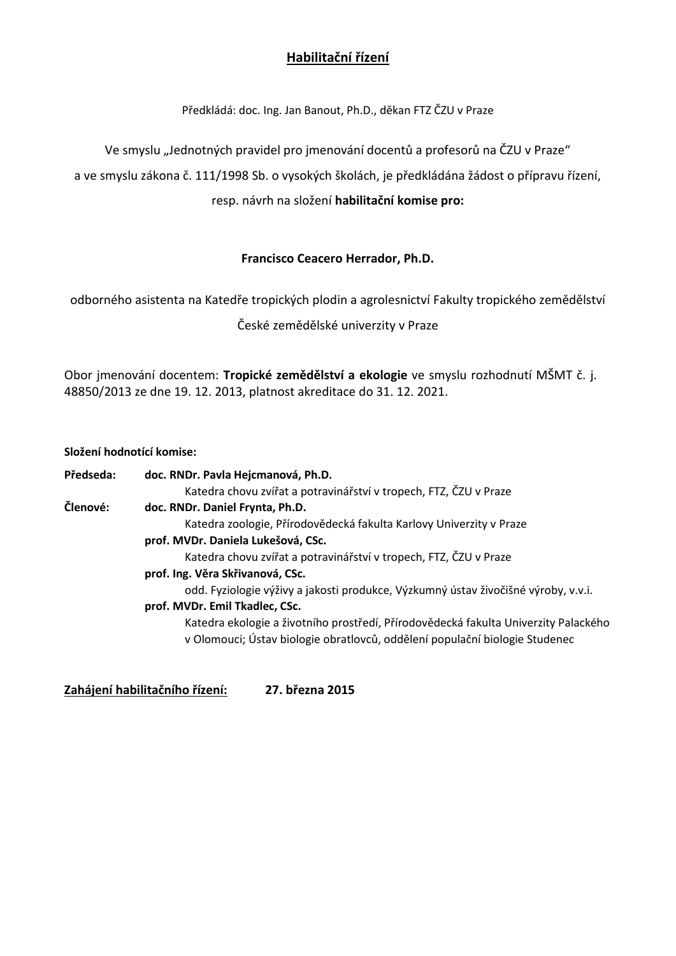# **Habilitační řízení**

Předkládá: doc. Ing. Jan Banout, Ph.D., děkan FTZ ČZU v Praze

Ve smyslu "Jednotných pravidel pro jmenování docentů a profesorů na ČZU v Praze"

a ve smyslu zákona č. 111/1998 Sb. o vysokých školách, je předkládána žádost o přípravu řízení,

### resp. návrh na složení **habilitační komise pro:**

### **Francisco Ceacero Herrador, Ph.D.**

odborného asistenta na Katedře tropických plodin a agrolesnictví Fakulty tropického zemědělství České zemědělské univerzity v Praze

Obor jmenování docentem: **Tropické zemědělství a ekologie** ve smyslu rozhodnutí MŠMT č. j. 48850/2013 ze dne 19. 12. 2013, platnost akreditace do 31. 12. 2021.

#### **Složení hodnotící komise:**

| Předseda: | doc. RNDr. Pavla Hejcmanová, Ph.D.                                                                                                                                 |
|-----------|--------------------------------------------------------------------------------------------------------------------------------------------------------------------|
|           | Katedra chovu zvířat a potravinářství v tropech, FTZ, ČZU v Praze                                                                                                  |
| Členové:  | doc. RNDr. Daniel Frynta, Ph.D.                                                                                                                                    |
|           | Katedra zoologie, Přírodovědecká fakulta Karlovy Univerzity v Praze                                                                                                |
|           | prof. MVDr. Daniela Lukešová, CSc.                                                                                                                                 |
|           | Katedra chovu zvířat a potravinářství v tropech, FTZ, ČZU v Praze                                                                                                  |
|           | prof. Ing. Věra Skřivanová, CSc.                                                                                                                                   |
|           | odd. Fyziologie výživy a jakosti produkce, Výzkumný ústav živočišné výroby, v.v.i.                                                                                 |
|           | prof. MVDr. Emil Tkadlec, CSc.                                                                                                                                     |
|           | Katedra ekologie a životního prostředí, Přírodovědecká fakulta Univerzity Palackého<br>v Olomouci; Ústav biologie obratlovců, oddělení populační biologie Studenec |
|           |                                                                                                                                                                    |

**Zahájení habilitačního řízení: 27. března 2015**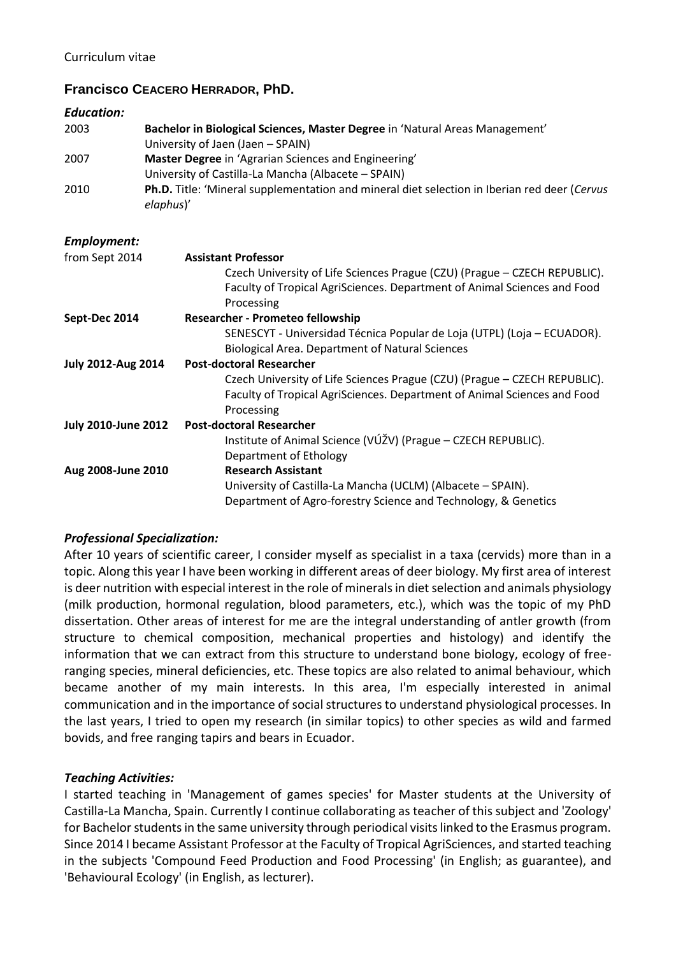## **Francisco CEACERO HERRADOR, PhD.**

#### *Education:*

| 2003 | Bachelor in Biological Sciences, Master Degree in 'Natural Areas Management'<br>University of Jaen (Jaen - SPAIN) |
|------|-------------------------------------------------------------------------------------------------------------------|
| 2007 | Master Degree in 'Agrarian Sciences and Engineering'                                                              |
|      | University of Castilla-La Mancha (Albacete – SPAIN)                                                               |
| 2010 | Ph.D. Title: 'Mineral supplementation and mineral diet selection in Iberian red deer (Cervus<br>elaphus)'         |

#### *Employment:*

| from Sept 2014             | <b>Assistant Professor</b>                                                |
|----------------------------|---------------------------------------------------------------------------|
|                            | Czech University of Life Sciences Prague (CZU) (Prague - CZECH REPUBLIC). |
|                            | Faculty of Tropical AgriSciences. Department of Animal Sciences and Food  |
|                            | Processing                                                                |
| Sept-Dec 2014              | <b>Researcher - Prometeo fellowship</b>                                   |
|                            | SENESCYT - Universidad Técnica Popular de Loja (UTPL) (Loja – ECUADOR).   |
|                            | <b>Biological Area. Department of Natural Sciences</b>                    |
| <b>July 2012-Aug 2014</b>  | <b>Post-doctoral Researcher</b>                                           |
|                            | Czech University of Life Sciences Prague (CZU) (Prague - CZECH REPUBLIC). |
|                            | Faculty of Tropical AgriSciences. Department of Animal Sciences and Food  |
|                            | Processing                                                                |
| <b>July 2010-June 2012</b> | <b>Post-doctoral Researcher</b>                                           |
|                            | Institute of Animal Science (VÚŽV) (Prague - CZECH REPUBLIC).             |
|                            | Department of Ethology                                                    |
| Aug 2008-June 2010         | <b>Research Assistant</b>                                                 |
|                            | University of Castilla-La Mancha (UCLM) (Albacete - SPAIN).               |
|                            | Department of Agro-forestry Science and Technology, & Genetics            |
|                            |                                                                           |

### *Professional Specialization:*

After 10 years of scientific career, I consider myself as specialist in a taxa (cervids) more than in a topic. Along this year I have been working in different areas of deer biology. My first area of interest is deer nutrition with especial interest in the role of minerals in diet selection and animals physiology (milk production, hormonal regulation, blood parameters, etc.), which was the topic of my PhD dissertation. Other areas of interest for me are the integral understanding of antler growth (from structure to chemical composition, mechanical properties and histology) and identify the information that we can extract from this structure to understand bone biology, ecology of freeranging species, mineral deficiencies, etc. These topics are also related to animal behaviour, which became another of my main interests. In this area, I'm especially interested in animal communication and in the importance of social structures to understand physiological processes. In the last years, I tried to open my research (in similar topics) to other species as wild and farmed bovids, and free ranging tapirs and bears in Ecuador.

### *Teaching Activities:*

I started teaching in 'Management of games species' for Master students at the University of Castilla-La Mancha, Spain. Currently I continue collaborating as teacher of this subject and 'Zoology' for Bachelor students in the same university through periodical visits linked to the Erasmus program. Since 2014 I became Assistant Professor at the Faculty of Tropical AgriSciences, and started teaching in the subjects 'Compound Feed Production and Food Processing' (in English; as guarantee), and 'Behavioural Ecology' (in English, as lecturer).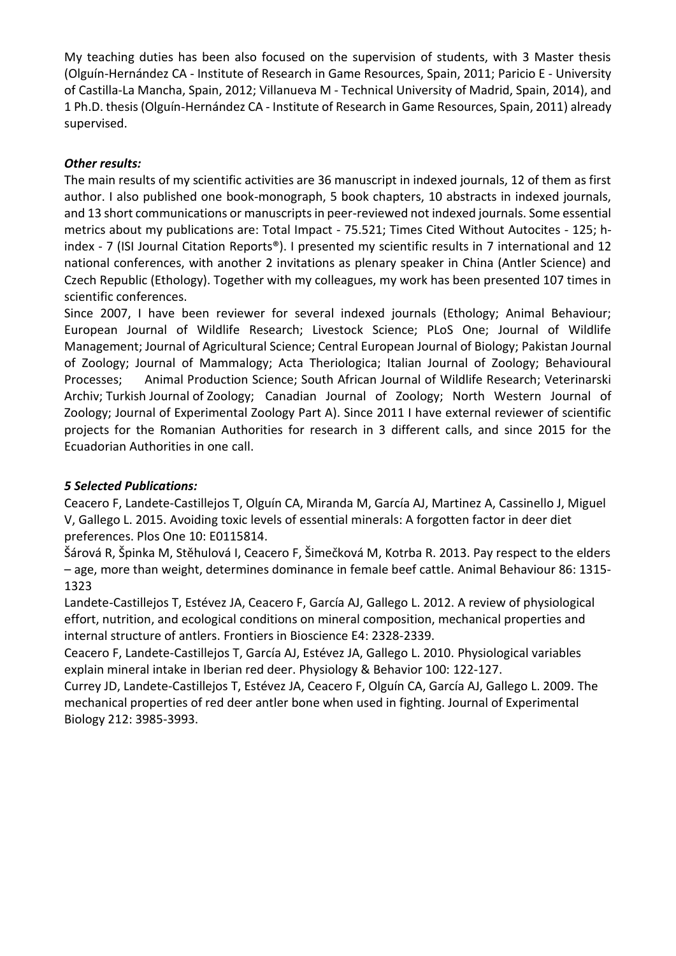My teaching duties has been also focused on the supervision of students, with 3 Master thesis (Olguín-Hernández CA - Institute of Research in Game Resources, Spain, 2011; Paricio E - University of Castilla-La Mancha, Spain, 2012; Villanueva M - Technical University of Madrid, Spain, 2014), and 1 Ph.D. thesis (Olguín-Hernández CA - Institute of Research in Game Resources, Spain, 2011) already supervised.

### *Other results:*

The main results of my scientific activities are 36 manuscript in indexed journals, 12 of them as first author. I also published one book-monograph, 5 book chapters, 10 abstracts in indexed journals, and 13 short communications or manuscripts in peer-reviewed not indexed journals. Some essential metrics about my publications are: Total Impact - 75.521; Times Cited Without Autocites - 125; hindex - 7 (ISI Journal Citation Reports®). I presented my scientific results in 7 international and 12 national conferences, with another 2 invitations as plenary speaker in China (Antler Science) and Czech Republic (Ethology). Together with my colleagues, my work has been presented 107 times in scientific conferences.

Since 2007, I have been reviewer for several indexed journals (Ethology; Animal Behaviour; European Journal of Wildlife Research; Livestock Science; PLoS One; Journal of Wildlife Management; Journal of Agricultural Science; Central European Journal of Biology; Pakistan Journal of Zoology; Journal of Mammalogy; Acta Theriologica; Italian Journal of Zoology; Behavioural Processes; Animal Production Science; South African Journal of Wildlife Research; Veterinarski Archiv; Turkish Journal of Zoology; Canadian Journal of Zoology; North Western Journal of Zoology; Journal of Experimental Zoology Part A). Since 2011 I have external reviewer of scientific projects for the Romanian Authorities for research in 3 different calls, and since 2015 for the Ecuadorian Authorities in one call.

### *5 Selected Publications:*

Ceacero F, Landete-Castillejos T, Olguín CA, Miranda M, García AJ, Martinez A, Cassinello J, Miguel V, Gallego L. 2015. Avoiding toxic levels of essential minerals: A forgotten factor in deer diet preferences. Plos One 10: E0115814.

Šárová R, Špinka M, Stěhulová I, Ceacero F, Šimečková M, Kotrba R. 2013. Pay respect to the elders – age, more than weight, determines dominance in female beef cattle. Animal Behaviour 86: 1315- 1323

Landete-Castillejos T, Estévez JA, Ceacero F, García AJ, Gallego L. 2012. A review of physiological effort, nutrition, and ecological conditions on mineral composition, mechanical properties and internal structure of antlers. Frontiers in Bioscience E4: 2328-2339.

Ceacero F, Landete-Castillejos T, García AJ, Estévez JA, Gallego L. 2010. Physiological variables explain mineral intake in Iberian red deer. Physiology & Behavior 100: 122-127.

Currey JD, Landete-Castillejos T, Estévez JA, Ceacero F, Olguín CA, García AJ, Gallego L. 2009. The mechanical properties of red deer antler bone when used in fighting. Journal of Experimental Biology 212: 3985-3993.